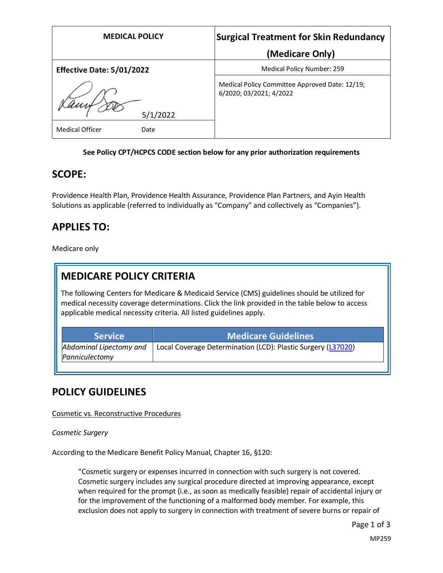| <b>MEDICAL POLICY</b>          | <b>Surgical Treatment for Skin Redundancy</b>                             |
|--------------------------------|---------------------------------------------------------------------------|
|                                | (Medicare Only)                                                           |
| Effective Date: 5/01/2022      | <b>Medical Policy Number: 259</b>                                         |
| 5/1/2022                       | Medical Policy Committee Approved Date: 12/19;<br>6/2020; 03/2021; 4/2022 |
| <b>Medical Officer</b><br>Date |                                                                           |

#### **See Policy CPT/HCPCS CODE section below for any prior authorization requirements**

### **SCOPE:**

Providence Health Plan, Providence Health Assurance, Providence Plan Partners, and Ayin Health Solutions as applicable (referred to individually as "Company" and collectively as "Companies").

## **APPLIES TO:**

Medicare only

## **MEDICARE POLICY CRITERIA**

The following Centers for Medicare & Medicaid Service (CMS) guidelines should be utilized for medical necessity coverage determinations. Click the link provided in the table below to access applicable medical necessity criteria. All listed guidelines apply.

| <b>Service</b>          | <b>Medicare Guidelines</b>                                   |
|-------------------------|--------------------------------------------------------------|
| Abdominal Lipectomy and | Local Coverage Determination (LCD): Plastic Surgery (L37020) |
| Panniculectomy          |                                                              |

### **POLICY GUIDELINES**

#### Cosmetic vs. Reconstructive Procedures

*Cosmetic Surgery*

According to the Medicare Benefit Policy Manual, Chapter 16, §120:

"Cosmetic surgery or expenses incurred in connection with such surgery is not covered. Cosmetic surgery includes any surgical procedure directed at improving appearance, except when required for the prompt (i.e., as soon as medically feasible) repair of accidental injury or for the improvement of the functioning of a malformed body member. For example, this exclusion does not apply to surgery in connection with treatment of severe burns or repair of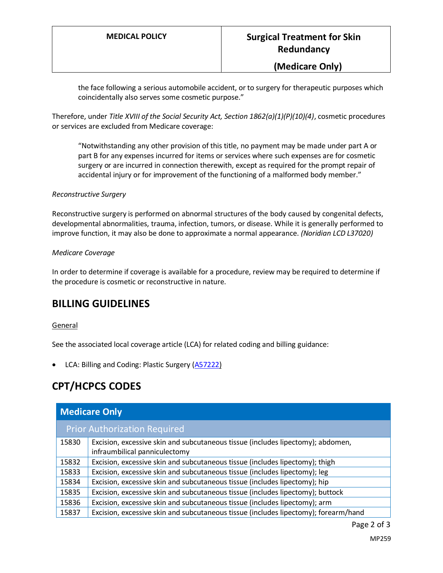### **(Medicare Only)**

the face following a serious automobile accident, or to surgery for therapeutic purposes which coincidentally also serves some cosmetic purpose."

Therefore, under *Title XVIII of the Social Security Act, Section 1862(a)(1)(P)(10)(4)*, cosmetic procedures or services are excluded from Medicare coverage:

"Notwithstanding any other provision of this title, no payment may be made under part A or part B for any expenses incurred for items or services where such expenses are for cosmetic surgery or are incurred in connection therewith, except as required for the prompt repair of accidental injury or for improvement of the functioning of a malformed body member."

#### *Reconstructive Surgery*

Reconstructive surgery is performed on abnormal structures of the body caused by congenital defects, developmental abnormalities, trauma, infection, tumors, or disease. While it is generally performed to improve function, it may also be done to approximate a normal appearance. *(Noridian LCD L37020)*

#### *Medicare Coverage*

In order to determine if coverage is available for a procedure, review may be required to determine if the procedure is cosmetic or reconstructive in nature.

## **BILLING GUIDELINES**

#### General

See the associated local coverage article (LCA) for related coding and billing guidance:

• LCA: Billing and Coding: Plastic Surgery [\(A57222\)](https://www.cms.gov/medicare-coverage-database/details/article-details.aspx?articleId=57222)

## **CPT/HCPCS CODES**

| <b>Medicare Only</b>                |                                                                                     |  |
|-------------------------------------|-------------------------------------------------------------------------------------|--|
| <b>Prior Authorization Required</b> |                                                                                     |  |
| 15830                               | Excision, excessive skin and subcutaneous tissue (includes lipectomy); abdomen,     |  |
|                                     | infraumbilical panniculectomy                                                       |  |
| 15832                               | Excision, excessive skin and subcutaneous tissue (includes lipectomy); thigh        |  |
| 15833                               | Excision, excessive skin and subcutaneous tissue (includes lipectomy); leg          |  |
| 15834                               | Excision, excessive skin and subcutaneous tissue (includes lipectomy); hip          |  |
| 15835                               | Excision, excessive skin and subcutaneous tissue (includes lipectomy); buttock      |  |
| 15836                               | Excision, excessive skin and subcutaneous tissue (includes lipectomy); arm          |  |
| 15837                               | Excision, excessive skin and subcutaneous tissue (includes lipectomy); forearm/hand |  |